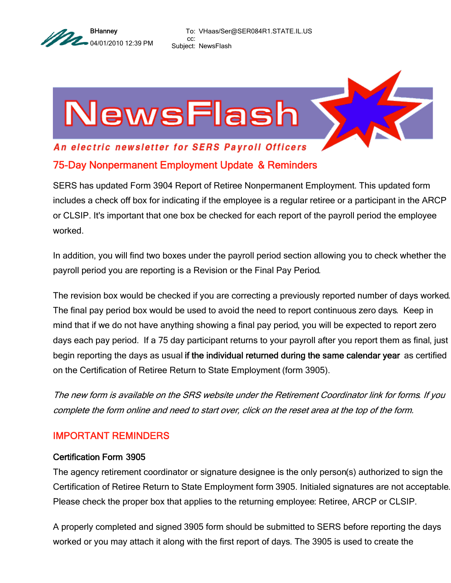

To: VHaas/Ser@SER084R1.STATE.IL.US cc: Subject: NewsFlash

# NewsFlash

# An electric newsletter for SERS Payroll Officers 75-Day Nonpermanent Employment Update & Reminders

SERS has updated Form 3904 Report of Retiree Nonpermanent Employment. This updated form includes a check off box for indicating if the employee is a regular retiree or a participant in the ARCP or CLSIP. It's important that one box be checked for each report of the payroll period the employee worked.

In addition, you will find two boxes under the payroll period section allowing you to check whether the payroll period you are reporting is a Revision or the Final Pay Period.

The revision box would be checked if you are correcting a previously reported number of days worked. The final pay period box would be used to avoid the need to report continuous zero days. Keep in mind that if we do not have anything showing a final pay period, you will be expected to report zero days each pay period. If a 75 day participant returns to your payroll after you report them as final, just begin reporting the days as usual if the individual returned during the same calendar year as certified on the Certification of Retiree Return to State Employment (form 3905).

The new form is available on the SRS website under the Retirement Coordinator link for forms. If you complete the form online and need to start over, click on the reset area at the top of the form.

## IMPORTANT REMINDERS

#### Certification Form 3905

The agency retirement coordinator or signature designee is the only person(s) authorized to sign the Certification of Retiree Return to State Employment form 3905. Initialed signatures are not acceptable. Please check the proper box that applies to the returning employee: Retiree, ARCP or CLSIP.

A properly completed and signed 3905 form should be submitted to SERS before reporting the days worked or you may attach it along with the first report of days. The 3905 is used to create the